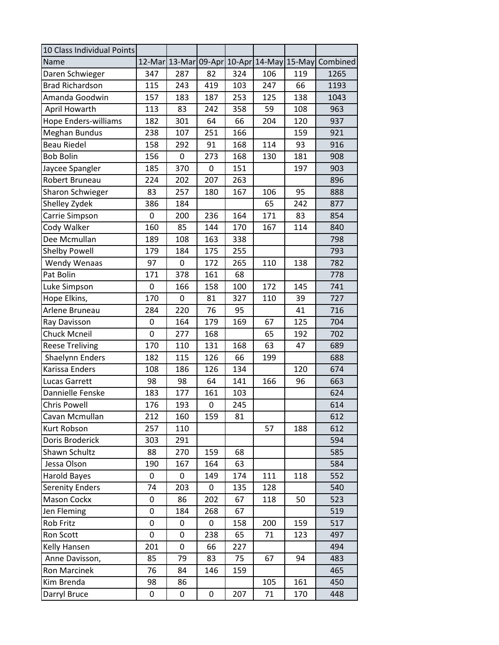| 10 Class Individual Points  |     |               |     |               |        |        |          |
|-----------------------------|-----|---------------|-----|---------------|--------|--------|----------|
| Name                        |     | 12-Mar 13-Mar |     | 09-Apr 10-Apr | 14-May | 15-May | Combined |
| Daren Schwieger             | 347 | 287           | 82  | 324           | 106    | 119    | 1265     |
| <b>Brad Richardson</b>      | 115 | 243           | 419 | 103           | 247    | 66     | 1193     |
| Amanda Goodwin              | 157 | 183           | 187 | 253           | 125    | 138    | 1043     |
| April Howarth               | 113 | 83            | 242 | 358           | 59     | 108    | 963      |
| <b>Hope Enders-williams</b> | 182 | 301           | 64  | 66            | 204    | 120    | 937      |
| Meghan Bundus               | 238 | 107           | 251 | 166           |        | 159    | 921      |
| <b>Beau Riedel</b>          | 158 | 292           | 91  | 168           | 114    | 93     | 916      |
| <b>Bob Bolin</b>            | 156 | 0             | 273 | 168           | 130    | 181    | 908      |
| Jaycee Spangler             | 185 | 370           | 0   | 151           |        | 197    | 903      |
| Robert Bruneau              | 224 | 202           | 207 | 263           |        |        | 896      |
| <b>Sharon Schwieger</b>     | 83  | 257           | 180 | 167           | 106    | 95     | 888      |
| Shelley Zydek               | 386 | 184           |     |               | 65     | 242    | 877      |
| Carrie Simpson              | 0   | 200           | 236 | 164           | 171    | 83     | 854      |
| Cody Walker                 | 160 | 85            | 144 | 170           | 167    | 114    | 840      |
| Dee Mcmullan                | 189 | 108           | 163 | 338           |        |        | 798      |
| <b>Shelby Powell</b>        | 179 | 184           | 175 | 255           |        |        | 793      |
| <b>Wendy Wenaas</b>         | 97  | 0             | 172 | 265           | 110    | 138    | 782      |
| Pat Bolin                   | 171 | 378           | 161 | 68            |        |        | 778      |
| Luke Simpson                | 0   | 166           | 158 | 100           | 172    | 145    | 741      |
| Hope Elkins,                | 170 | 0             | 81  | 327           | 110    | 39     | 727      |
| Arlene Bruneau              | 284 | 220           | 76  | 95            |        | 41     | 716      |
| Ray Davisson                | 0   | 164           | 179 | 169           | 67     | 125    | 704      |
| <b>Chuck Mcneil</b>         | 0   | 277           | 168 |               | 65     | 192    | 702      |
| <b>Reese Treliving</b>      | 170 | 110           | 131 | 168           | 63     | 47     | 689      |
| Shaelynn Enders             | 182 | 115           | 126 | 66            | 199    |        | 688      |
| Karissa Enders              | 108 | 186           | 126 | 134           |        | 120    | 674      |
| <b>Lucas Garrett</b>        | 98  | 98            | 64  | 141           | 166    | 96     | 663      |
| Dannielle Fenske            | 183 | 177           | 161 | 103           |        |        | 624      |
| <b>Chris Powell</b>         | 176 | 193           | 0   | 245           |        |        | 614      |
| Cavan Mcmullan              | 212 | 160           | 159 | 81            |        |        | 612      |
| Kurt Robson                 | 257 | 110           |     |               | 57     | 188    | 612      |
| Doris Broderick             | 303 | 291           |     |               |        |        | 594      |
| Shawn Schultz               | 88  | 270           | 159 | 68            |        |        | 585      |
| Jessa Olson                 | 190 | 167           | 164 | 63            |        |        | 584      |
| <b>Harold Bayes</b>         | 0   | 0             | 149 | 174           | 111    | 118    | 552      |
| <b>Serenity Enders</b>      | 74  | 203           | 0   | 135           | 128    |        | 540      |
| Mason Cockx                 | 0   | 86            | 202 | 67            | 118    | 50     | 523      |
| Jen Fleming                 | 0   | 184           | 268 | 67            |        |        | 519      |
| Rob Fritz                   | 0   | 0             | 0   | 158           | 200    | 159    | 517      |
| Ron Scott                   | 0   | 0             | 238 | 65            | 71     | 123    | 497      |
| Kelly Hansen                | 201 | 0             | 66  | 227           |        |        | 494      |
| Anne Davisson,              | 85  | 79            | 83  | 75            | 67     | 94     | 483      |
| <b>Ron Marcinek</b>         | 76  | 84            | 146 | 159           |        |        | 465      |
| Kim Brenda                  | 98  | 86            |     |               | 105    | 161    | 450      |
| Darryl Bruce                | 0   | 0             | 0   | 207           | 71     | 170    | 448      |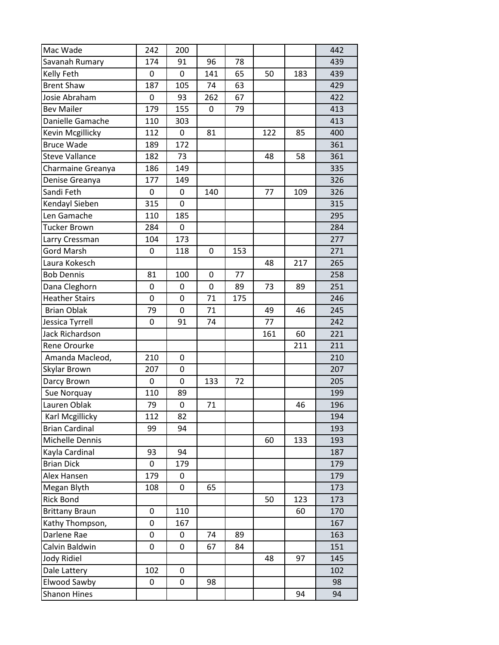| Mac Wade              | 242 | 200         |     |     |     |     | 442 |
|-----------------------|-----|-------------|-----|-----|-----|-----|-----|
| Savanah Rumary        | 174 | 91          | 96  | 78  |     |     | 439 |
| Kelly Feth            | 0   | 0           | 141 | 65  | 50  | 183 | 439 |
| <b>Brent Shaw</b>     | 187 | 105         | 74  | 63  |     |     | 429 |
| Josie Abraham         | 0   | 93          | 262 | 67  |     |     | 422 |
| <b>Bev Mailer</b>     | 179 | 155         | 0   | 79  |     |     | 413 |
| Danielle Gamache      | 110 | 303         |     |     |     |     | 413 |
| Kevin Mcgillicky      | 112 | 0           | 81  |     | 122 | 85  | 400 |
| <b>Bruce Wade</b>     | 189 | 172         |     |     |     |     | 361 |
| <b>Steve Vallance</b> | 182 | 73          |     |     | 48  | 58  | 361 |
| Charmaine Greanya     | 186 | 149         |     |     |     |     | 335 |
| Denise Greanya        | 177 | 149         |     |     |     |     | 326 |
| Sandi Feth            | 0   | 0           | 140 |     | 77  | 109 | 326 |
| Kendayl Sieben        | 315 | 0           |     |     |     |     | 315 |
| Len Gamache           | 110 | 185         |     |     |     |     | 295 |
| <b>Tucker Brown</b>   | 284 | 0           |     |     |     |     | 284 |
| Larry Cressman        | 104 | 173         |     |     |     |     | 277 |
| <b>Gord Marsh</b>     | 0   | 118         | 0   | 153 |     |     | 271 |
| Laura Kokesch         |     |             |     |     | 48  | 217 | 265 |
| <b>Bob Dennis</b>     | 81  | 100         | 0   | 77  |     |     | 258 |
| Dana Cleghorn         | 0   | 0           | 0   | 89  | 73  | 89  | 251 |
| <b>Heather Stairs</b> | 0   | 0           | 71  | 175 |     |     | 246 |
| <b>Brian Oblak</b>    | 79  | $\mathbf 0$ | 71  |     | 49  | 46  | 245 |
| Jessica Tyrrell       | 0   | 91          | 74  |     | 77  |     | 242 |
| Jack Richardson       |     |             |     |     | 161 | 60  | 221 |
| <b>Rene Orourke</b>   |     |             |     |     |     | 211 | 211 |
| Amanda Macleod,       | 210 | 0           |     |     |     |     | 210 |
| Skylar Brown          | 207 | 0           |     |     |     |     | 207 |
| Darcy Brown           | 0   | 0           | 133 | 72  |     |     | 205 |
| Sue Norquay           | 110 | 89          |     |     |     |     | 199 |
| Lauren Oblak          | 79  | 0           | 71  |     |     | 46  | 196 |
| Karl Mcgillicky       | 112 | 82          |     |     |     |     | 194 |
| <b>Brian Cardinal</b> | 99  | 94          |     |     |     |     | 193 |
| Michelle Dennis       |     |             |     |     | 60  | 133 | 193 |
| Kayla Cardinal        | 93  | 94          |     |     |     |     | 187 |
| <b>Brian Dick</b>     | 0   | 179         |     |     |     |     | 179 |
| Alex Hansen           | 179 | 0           |     |     |     |     | 179 |
| Megan Blyth           | 108 | 0           | 65  |     |     |     | 173 |
| <b>Rick Bond</b>      |     |             |     |     | 50  | 123 | 173 |
| <b>Brittany Braun</b> | 0   | 110         |     |     |     | 60  | 170 |
| Kathy Thompson,       | 0   | 167         |     |     |     |     | 167 |
| Darlene Rae           | 0   | 0           | 74  | 89  |     |     | 163 |
| Calvin Baldwin        | 0   | 0           | 67  | 84  |     |     | 151 |
| Jody Ridiel           |     |             |     |     | 48  | 97  | 145 |
| Dale Lattery          | 102 | 0           |     |     |     |     | 102 |
| Elwood Sawby          | 0   | 0           | 98  |     |     |     | 98  |
| <b>Shanon Hines</b>   |     |             |     |     |     | 94  | 94  |